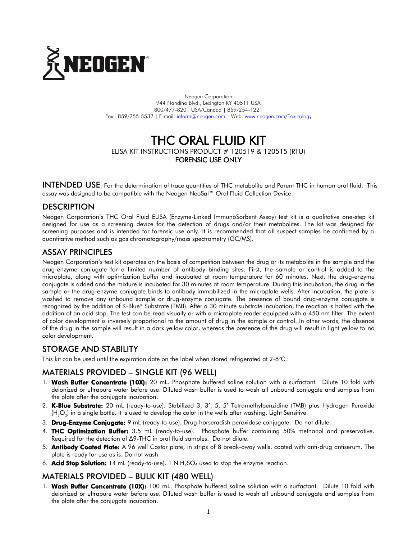

Neogen Corporation 944 Nandino Blvd., Lexington KY 40511 USA 800/477-8201 USA/Canada | 859/254-1221 Fax: 859/255-5532 | E-mail[: inform@neogen.com](mailto:inform@neogen.com) | Web[: www.neogen.com/Toxicology](http://www.neogen.com/Toxicology)

# THC ORAL FLUID KIT ELISA KIT INSTRUCTIONS PRODUCT # 120519 & 120515 (RTU) FORENSIC USE ONLY

INTENDED USE: For the determination of trace quantities of THC metabolite and Parent THC in human oral fluid. This assay was designed to be compatible with the Neogen NeoSal™ Oral Fluid Collection Device.

# **DESCRIPTION**

Neogen Corporation's THC Oral Fluid ELISA (Enzyme-Linked ImmunoSorbent Assay) test kit is a qualitative one-step kit designed for use as a screening device for the detection of drugs and/or their metabolites. The kit was designed for screening purposes and is intended for forensic use only. It is recommended that all suspect samples be confirmed by a quantitative method such as gas chromatography/mass spectrometry (GC/MS).

# ASSAY PRINCIPLES

Neogen Corporation's test kit operates on the basis of competition between the drug or its metabolite in the sample and the drug-enzyme conjugate for a limited number of antibody binding sites. First, the sample or control is added to the microplate, along with optimization buffer and incubated at room temperature for 60 minutes. Next, the drug-enzyme conjugate is added and the mixture is incubated for 30 minutes at room temperature. During this incubation, the drug in the sample or the drug-enzyme conjugate binds to antibody immobilized in the microplate wells. After incubation, the plate is washed to remove any unbound sample or drug-enzyme conjugate. The presence of bound drug-enzyme conjugate is recognized by the addition of K-Blue® Substrate (TMB). After a 30 minute substrate incubation, the reaction is halted with the addition of an acid stop. The test can be read visually or with a microplate reader equipped with a 450 nm filter. The extent of color development is inversely proportional to the amount of drug in the sample or control. In other words, the absence of the drug in the sample will result in a dark yellow color, whereas the presence of the drug will result in light yellow to no color development.

#### STORAGE AND STABILITY

This kit can be used until the expiration date on the label when stored refrigerated at 2-8°C.

# MATERIALS PROVIDED – SINGLE KIT (96 WELL)

- 1. Wash Buffer Concentrate (10X): 20 mL. Phosphate buffered saline solution with a surfactant. Dilute 10 fold with deionized or ultrapure water before use. Diluted wash buffer is used to wash all unbound conjugate and samples from the plate after the conjugate incubation.
- 2. K-Blue Substrate: 20 mL (ready-to-use). Stabilized 3, 3', 5, 5' Tetramethylbenzidine (TMB) plus Hydrogen Peroxide (H $_{2} \rm{O}_{2}$ ) in a single bottle. It is used to develop the color in the wells after washing. Light Sensitive.
- 3. Drug-Enzyme Conjugate: 9 mL (ready-to-use). Drug-horseradish peroxidase conjugate. Do not dilute.
- 4. THC Optimization Buffer: 3.5 mL (ready-to-use). Phosphate buffer containing 50% methanol and preservative. Required for the detection of ∆9-THC in oral fluid samples. Do not dilute.
- 5. Antibody Coated Plate: A 96 well Costar plate, in strips of 8 break-away wells, coated with anti-drug antiserum. The plate is ready for use as is. Do not wash.
- 6. **Acid Stop Solution:** 14 mL (ready-to-use). 1 N  $H_2SO_4$  used to stop the enzyme reaction.

#### MATERIALS PROVIDED – BULK KIT (480 WELL)

1. Wash Buffer Concentrate (10X): 100 mL. Phosphate buffered saline solution with a surfactant. Dilute 10 fold with deionized or ultrapure water before use. Diluted wash buffer is used to wash all unbound conjugate and samples from the plate after the conjugate incubation.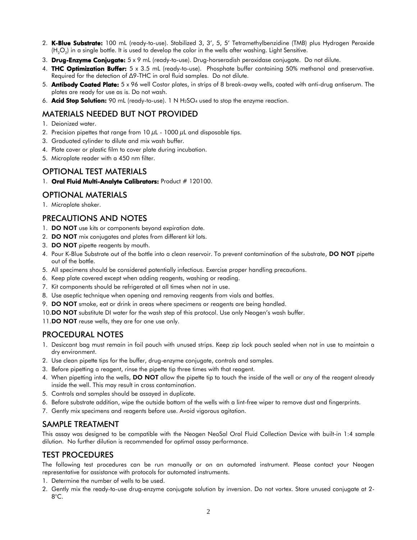- 2. K-Blue Substrate: 100 mL (ready-to-use). Stabilized 3, 3', 5, 5' Tetramethylbenzidine (TMB) plus Hydrogen Peroxide (H $_{2} \rm{O}_{2}$ ) in a single bottle. It is used to develop the color in the wells after washing. Light Sensitive.
- 3. Drug-Enzyme Conjugate:  $5 \times 9$  mL (ready-to-use). Drug-horseradish peroxidase conjugate. Do not dilute.
- 4. THC Optimization Buffer:  $5 \times 3.5$  mL (ready-to-use). Phosphate buffer containing 50% methanol and preservative. Required for the detection of ∆9-THC in oral fluid samples. Do not dilute.
- 5. **Antibody Coated Plate:** 5 x 96 well Costar plates, in strips of 8 break-away wells, coated with anti-drug antiserum. The plates are ready for use as is. Do not wash.
- 6. **Acid Stop Solution:** 90 mL (ready-to-use). 1 N  $H_2SO_4$  used to stop the enzyme reaction.

# MATERIALS NEEDED BUT NOT PROVIDED

- 1. Deionized water.
- 2. Precision pipettes that range from  $10 \mu L 1000 \mu L$  and disposable tips.
- 3. Graduated cylinder to dilute and mix wash buffer.
- 4. Plate cover or plastic film to cover plate during incubation.
- 5. Microplate reader with a 450 nm filter.

#### OPTIONAL TEST MATERIALS

1. Oral Fluid Multi-Analyte Calibrators: Product # 120100.

# OPTIONAL MATERIALS

1. Microplate shaker.

# PRECAUTIONS AND NOTES

- 1. **DO NOT** use kits or components beyond expiration date.
- 2. DO NOT mix conjugates and plates from different kit lots.
- 3. DO NOT pipette reagents by mouth.
- 4. Pour K-Blue Substrate out of the bottle into a clean reservoir. To prevent contamination of the substrate, DO NOT pipette out of the bottle.
- 5. All specimens should be considered potentially infectious. Exercise proper handling precautions.
- 6. Keep plate covered except when adding reagents, washing or reading.
- 7. Kit components should be refrigerated at all times when not in use.
- 8. Use aseptic technique when opening and removing reagents from vials and bottles.
- 9. DO NOT smoke, eat or drink in areas where specimens or reagents are being handled.
- 10.DO NOT substitute DI water for the wash step of this protocol. Use only Neogen's wash buffer.
- 11.DO NOT reuse wells, they are for one use only.

#### PROCEDURAL NOTES

- 1. Desiccant bag must remain in foil pouch with unused strips. Keep zip lock pouch sealed when not in use to maintain a dry environment.
- 2. Use clean pipette tips for the buffer, drug-enzyme conjugate, controls and samples.
- 3. Before pipetting a reagent, rinse the pipette tip three times with that reagent.
- 4. When pipetting into the wells, DO NOT allow the pipette tip to touch the inside of the well or any of the reagent already inside the well. This may result in cross contamination.
- 5. Controls and samples should be assayed in duplicate.
- 6. Before substrate addition, wipe the outside bottom of the wells with a lint-free wiper to remove dust and fingerprints.
- 7. Gently mix specimens and reagents before use. Avoid vigorous agitation.

# SAMPLE TREATMENT

This assay was designed to be compatible with the Neogen NeoSal Oral Fluid Collection Device with built-in 1:4 sample dilution. No further dilution is recommended for optimal assay performance.

# TEST PROCEDURES

The following test procedures can be run manually or on an automated instrument. Please contact your Neogen representative for assistance with protocols for automated instruments.

- 1. Determine the number of wells to be used.
- 2. Gently mix the ready-to-use drug-enzyme conjugate solution by inversion. Do not vortex. Store unused conjugate at 2- 8°C.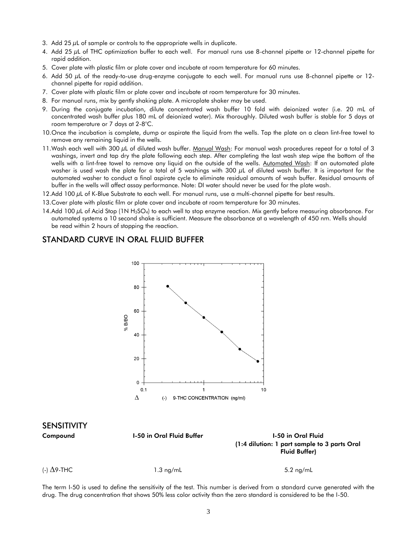- 3. Add  $25 \mu L$  of sample or controls to the appropriate wells in duplicate.
- 4. Add 25 µL of THC optimization buffer to each well. For manual runs use 8-channel pipette or 12-channel pipette for rapid addition.
- 5. Cover plate with plastic film or plate cover and incubate at room temperature for 60 minutes.
- 6. Add 50 µL of the ready-to-use drug-enzyme conjugate to each well. For manual runs use 8-channel pipette or 12 channel pipette for rapid addition.
- 7. Cover plate with plastic film or plate cover and incubate at room temperature for 30 minutes.
- 8. For manual runs, mix by gently shaking plate. A microplate shaker may be used.
- 9. During the conjugate incubation, dilute concentrated wash buffer 10 fold with deionized water (i.e. 20 mL of concentrated wash buffer plus 180 mL of deionized water). Mix thoroughly. Diluted wash buffer is stable for 5 days at room temperature or 7 days at 2-8°C.
- 10.Once the incubation is complete, dump or aspirate the liquid from the wells. Tap the plate on a clean lint-free towel to remove any remaining liquid in the wells.
- 11. Wash each well with 300  $\mu$ L of diluted wash buffer. Manual Wash: For manual wash procedures repeat for a total of 3 washings, invert and tap dry the plate following each step. After completing the last wash step wipe the bottom of the wells with a lint-free towel to remove any liquid on the outside of the wells. Automated Wash: If an automated plate washer is used wash the plate for a total of 5 washings with 300 µL of diluted wash buffer. It is important for the automated washer to conduct a final aspirate cycle to eliminate residual amounts of wash buffer. Residual amounts of buffer in the wells will affect assay performance. Note: DI water should never be used for the plate wash.
- 12.Add 100 µL of K-Blue Substrate to each well. For manual runs, use a multi-channel pipette for best results.
- 13.Cover plate with plastic film or plate cover and incubate at room temperature for 30 minutes.
- 14.Add 100  $\mu$ L of Acid Stop (1N H<sub>2</sub>SO<sub>4</sub>) to each well to stop enzyme reaction. Mix gently before measuring absorbance. For automated systems a 10 second shake is sufficient. Measure the absorbance at a wavelength of 450 nm. Wells should be read within 2 hours of stopping the reaction.

#### STANDARD CURVE IN ORAL FLUID BUFFER



# SENSITIVITY

| Compound           | <b>1-50 in Oral Fluid Buffer</b> | <b>1-50 in Oral Fluid</b><br>(1:4 dilution: 1 part sample to 3 parts Oral |
|--------------------|----------------------------------|---------------------------------------------------------------------------|
|                    |                                  | <b>Fluid Buffer)</b>                                                      |
| (-) $\Delta$ 9-THC | $1.3 \text{ ng/mL}$              | $5.2 \text{ ng/mL}$                                                       |

The term I-50 is used to define the sensitivity of the test. This number is derived from a standard curve generated with the drug. The drug concentration that shows 50% less color activity than the zero standard is considered to be the I-50.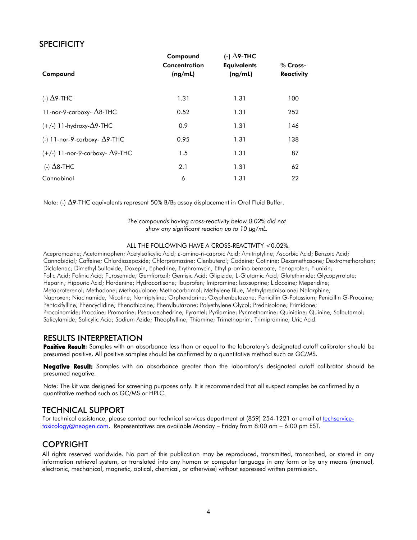# **SPECIFICITY**

| Compound                                 | Compound<br>Concentration<br>(ng/mL) | (-) $\Delta$ 9-THC<br><b>Equivalents</b><br>(ng/mL) | % Cross-<br><b>Reactivity</b> |
|------------------------------------------|--------------------------------------|-----------------------------------------------------|-------------------------------|
| (-) $\Delta$ 9-THC                       | 1.31                                 | 1.31                                                | 100                           |
| 11-nor-9-carboxy- $\Delta$ 8-THC         | 0.52                                 | 1.31                                                | 252                           |
| $(+/-)$ 11-hydroxy- $\Delta$ 9-THC       | 0.9                                  | 1.31                                                | 146                           |
| (-) 11-nor-9-carboxy- $\Delta$ 9-THC     | 0.95                                 | 1.31                                                | 138                           |
| $(+/-)$ 11-nor-9-carboxy- $\Delta$ 9-THC | 1.5                                  | 1.31                                                | 87                            |
| (-) $\Delta$ 8-THC                       | 2.1                                  | 1.31                                                | 62                            |
| Cannabinol                               | 6                                    | 1.31                                                | 22                            |

Note: (-)  $\Delta$ 9-THC equivalents represent 50% B/B<sub>0</sub> assay displacement in Oral Fluid Buffer.

*The compounds having cross-reactivity below 0.02% did not show any significant reaction up to 10 µg/mL.*

#### ALL THE FOLLOWING HAVE A CROSS-REACTIVITY <0.02%.

Acepromazine; Acetaminophen; Acetylsalicylic Acid;  $\varepsilon$ -amino-n-caproic Acid; Amitriptyline; Ascorbic Acid; Benzoic Acid; Cannabidiol; Caffeine; Chlordiazepoxide; Chlorpromazine; Clenbuterol; Codeine; Cotinine; Dexamethasone; Dextromethorphan; Diclofenac; Dimethyl Sulfoxide; Doxepin; Ephedrine; Erythromycin; Ethyl p-amino benzoate; Fenoprofen; Flunixin; Folic Acid; Folinic Acid; Furosemide; Gemfibrozil; Gentisic Acid; Glipizide; L-Glutamic Acid; Glutethimide; Glycopyrrolate; Heparin; Hippuric Acid; Hordenine; Hydrocortisone; Ibuprofen; Imipramine; Isoxsuprine; Lidocaine; Meperidine; Metaproterenol; Methadone; Methaqualone; Methocarbamol; Methylene Blue; Methylprednisolone; Nalorphine; Naproxen; Niacinamide; Nicotine; Nortriptyline; Orphendarine; Oxyphenbutazone; Penicillin G-Potassium; Penicillin G-Procaine; Pentoxifylline; Phencyclidine; Phenothiazine; Phenylbutazone; Polyethylene Glycol; Prednisolone; Primidone; Procainamide; Procaine; Promazine; Pseduoephedrine; Pyrantel; Pyrilamine; Pyrimethamine; Quinidine; Quinine; Salbutamol; Salicylamide; Salicylic Acid; Sodium Azide; Theophylline; Thiamine; Trimethoprim; Trimipramine; Uric Acid.

#### RESULTS INTERPRETATION

Positive Result: Samples with an absorbance less than or equal to the laboratory's designated cutoff calibrator should be presumed positive. All positive samples should be confirmed by a quantitative method such as GC/MS.

Negative Result: Samples with an absorbance greater than the laboratory's designated cutoff calibrator should be presumed negative.

Note: The kit was designed for screening purposes only. It is recommended that all suspect samples be confirmed by a quantitative method such as GC/MS or HPLC.

#### TECHNICAL SUPPORT

For technical assistance, please contact our technical services department at (859) 254-1221 or email at [techservice](mailto:techservice-toxicology@neogen.com)[toxicology@neogen.com.](mailto:techservice-toxicology@neogen.com) Representatives are available Monday – Friday from 8:00 am – 6:00 pm EST.

#### COPYRIGHT

All rights reserved worldwide. No part of this publication may be reproduced, transmitted, transcribed, or stored in any information retrieval system, or translated into any human or computer language in any form or by any means (manual, electronic, mechanical, magnetic, optical, chemical, or otherwise) without expressed written permission.